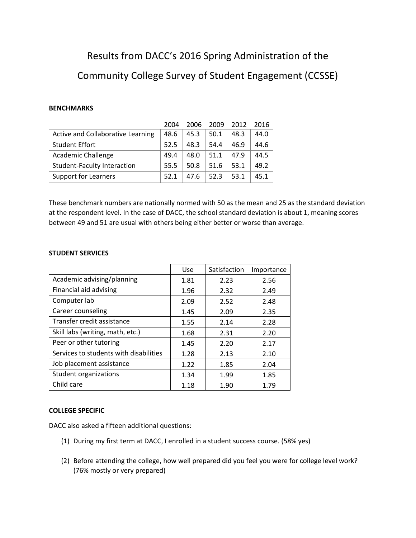## Results from DACC's 2016 Spring Administration of the Community College Survey of Student Engagement (CCSSE)

## **BENCHMARKS**

|                                    | 2004 | 2006 | 2009 | 2012 | 2016 |
|------------------------------------|------|------|------|------|------|
| Active and Collaborative Learning  | 48.6 | 45.3 | 50.1 | 48.3 | 44.0 |
| <b>Student Effort</b>              | 52.5 | 48.3 | 54.4 | 46.9 | 44.6 |
| <b>Academic Challenge</b>          | 49.4 | 48.0 | 51.1 | 47.9 | 44.5 |
| <b>Student-Faculty Interaction</b> | 55.5 | 50.8 | 51.6 | 53.1 | 49.2 |
| Support for Learners               | 52.1 | 47.6 | 52.3 | 53.1 | 45.1 |

These benchmark numbers are nationally normed with 50 as the mean and 25 as the standard deviation at the respondent level. In the case of DACC, the school standard deviation is about 1, meaning scores between 49 and 51 are usual with others being either better or worse than average.

## **STUDENT SERVICES**

|                                        | <b>Use</b> | Satisfaction | Importance |
|----------------------------------------|------------|--------------|------------|
| Academic advising/planning             | 1.81       | 2.23         | 2.56       |
| Financial aid advising                 | 1.96       | 2.32         | 2.49       |
| Computer lab                           | 2.09       | 2.52         | 2.48       |
| Career counseling                      | 1.45       | 2.09         | 2.35       |
| Transfer credit assistance             | 1.55       | 2.14         | 2.28       |
| Skill labs (writing, math, etc.)       | 1.68       | 2.31         | 2.20       |
| Peer or other tutoring                 | 1.45       | 2.20         | 2.17       |
| Services to students with disabilities | 1.28       | 2.13         | 2.10       |
| Job placement assistance               | 1.22       | 1.85         | 2.04       |
| Student organizations                  | 1.34       | 1.99         | 1.85       |
| Child care                             | 1.18       | 1.90         | 1.79       |

## **COLLEGE SPECIFIC**

DACC also asked a fifteen additional questions:

- (1) During my first term at DACC, I enrolled in a student success course. (58% yes)
- (2) Before attending the college, how well prepared did you feel you were for college level work? (76% mostly or very prepared)